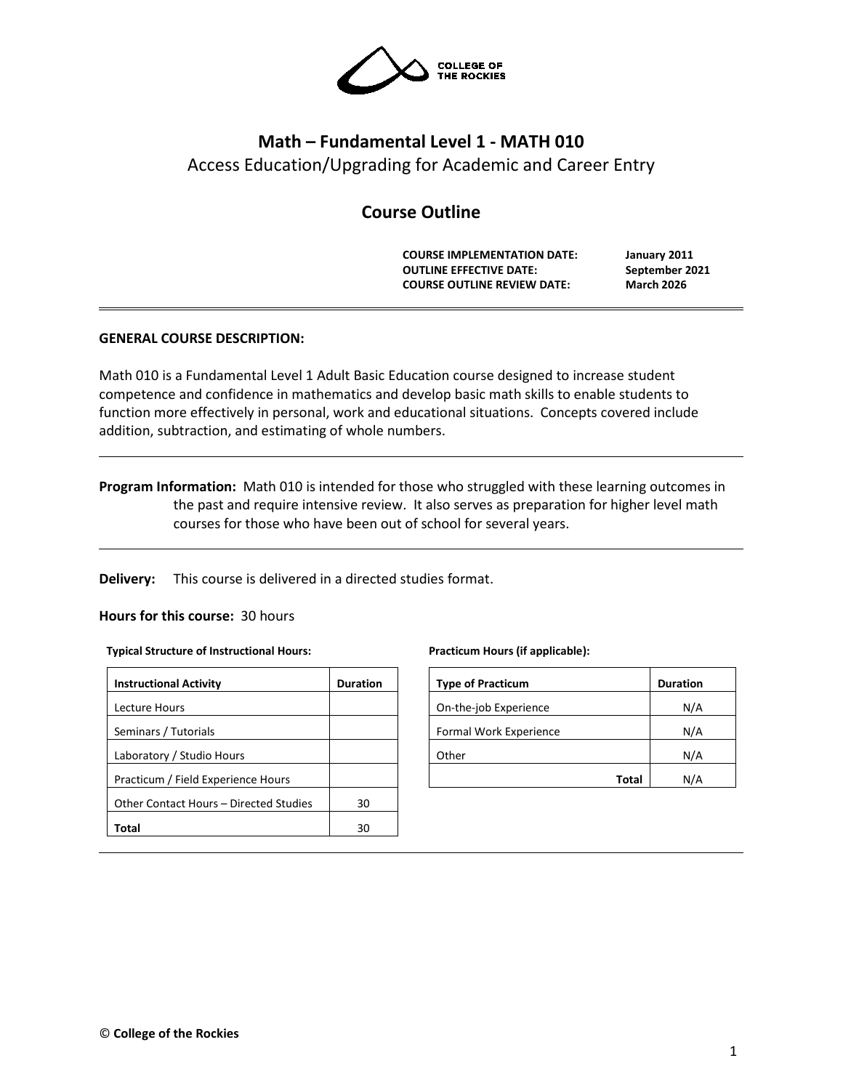

# **Math – Fundamental Level 1 - MATH 010** Access Education/Upgrading for Academic and Career Entry

# **Course Outline**

**COURSE IMPLEMENTATION DATE: January 2011 OUTLINE EFFECTIVE DATE: September 2021 COURSE OUTLINE REVIEW DATE: March 2026**

# **GENERAL COURSE DESCRIPTION:**

Math 010 is a Fundamental Level 1 Adult Basic Education course designed to increase student competence and confidence in mathematics and develop basic math skills to enable students to function more effectively in personal, work and educational situations. Concepts covered include addition, subtraction, and estimating of whole numbers.

**Program Information:** Math 010 is intended for those who struggled with these learning outcomes in the past and require intensive review. It also serves as preparation for higher level math courses for those who have been out of school for several years.

**Delivery:** This course is delivered in a directed studies format.

# **Hours for this course:** 30 hours

## **Typical Structure of Instructional Hours:**

| <b>Duration</b> |
|-----------------|
|                 |
|                 |
|                 |
|                 |
| 30              |
| 30              |
|                 |

## **Practicum Hours (if applicable):**

| <b>Type of Practicum</b> | <b>Duration</b> |
|--------------------------|-----------------|
| On-the-job Experience    | N/A             |
| Formal Work Experience   | N/A             |
| Other                    | N/A             |
| <b>Total</b>             | N/A             |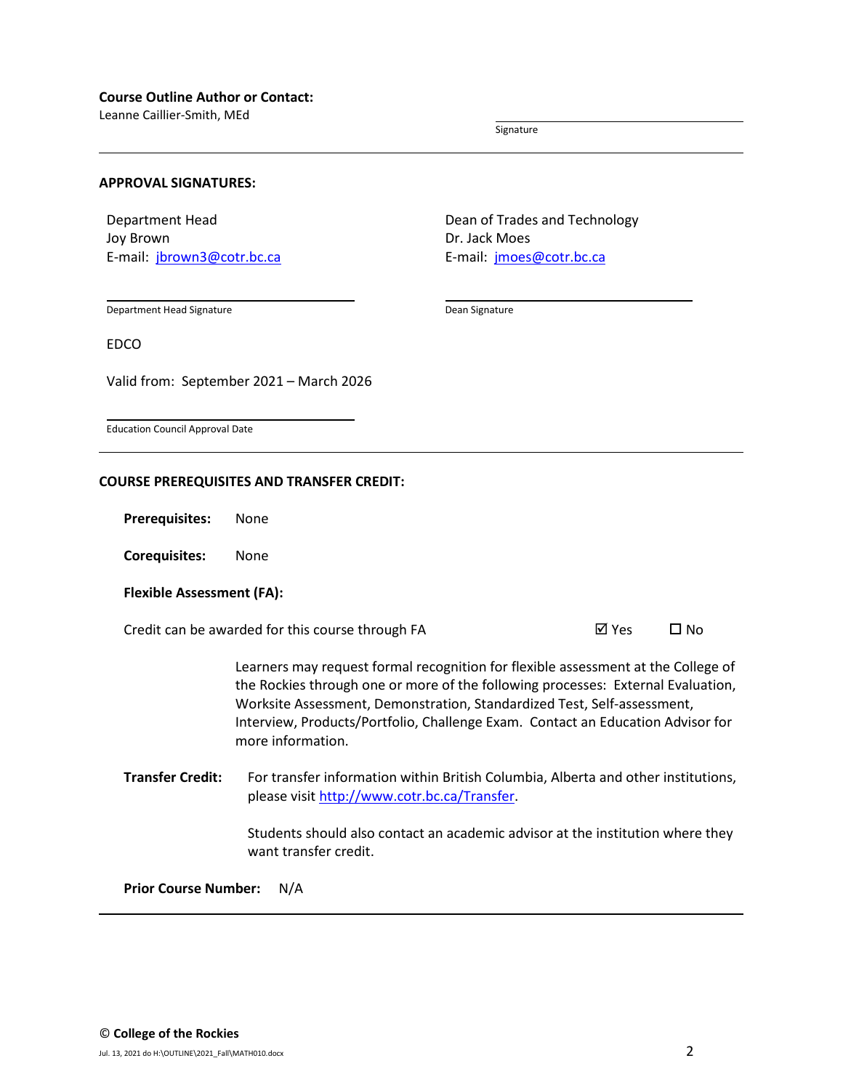Leanne Caillier-Smith, MEd

Signature

### **APPROVAL SIGNATURES:**

Department Head Joy Brown E-mail: [jbrown3@cotr.bc.ca](mailto:jbrown3@cotr.bc.ca) Dean of Trades and Technology Dr. Jack Moes E-mail: *[jmoes@cotr.bc.ca](mailto:jmoes@cotr.bc.ca)* 

Department Head Signature

Dean Signature

EDCO

Valid from: September 2021 – March 2026

Education Council Approval Date

### **COURSE PREREQUISITES AND TRANSFER CREDIT:**

**Prerequisites:** None

**Corequisites:** None

## **Flexible Assessment (FA):**

Credit can be awarded for this course through FA  $\boxtimes$  Yes  $\Box$  No

Learners may request formal recognition for flexible assessment at the College of the Rockies through one or more of the following processes: External Evaluation, Worksite Assessment, Demonstration, Standardized Test, Self-assessment, Interview, Products/Portfolio, Challenge Exam. Contact an Education Advisor for more information.

**Transfer Credit:** For transfer information within British Columbia, Alberta and other institutions, please visit [http://www.cotr.bc.ca/Transfer.](http://www.cotr.bc.ca/Transfer)

> Students should also contact an academic advisor at the institution where they want transfer credit.

**Prior Course Number:** N/A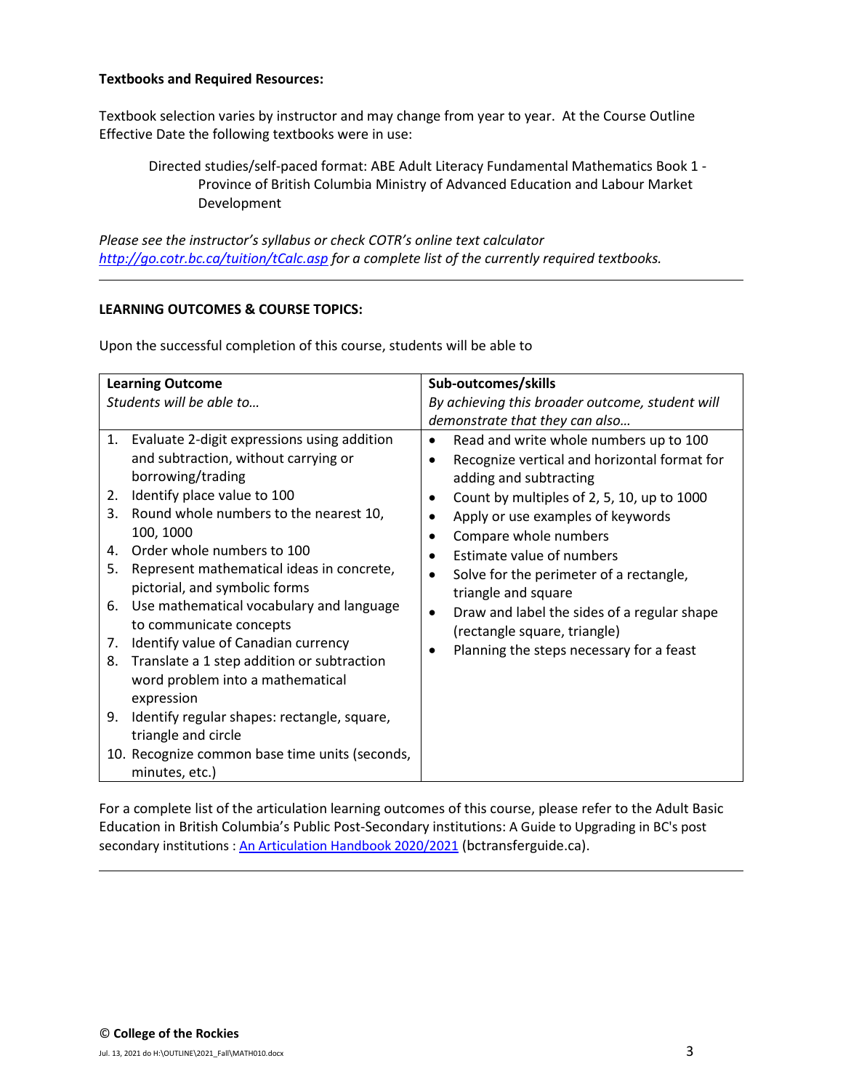# **Textbooks and Required Resources:**

Textbook selection varies by instructor and may change from year to year. At the Course Outline Effective Date the following textbooks were in use:

Directed studies/self-paced format: ABE Adult Literacy Fundamental Mathematics Book 1 - Province of British Columbia Ministry of Advanced Education and Labour Market Development

*Please see the instructor's syllabus or check COTR's online text calculator <http://go.cotr.bc.ca/tuition/tCalc.asp> for a complete list of the currently required textbooks.*

# **LEARNING OUTCOMES & COURSE TOPICS:**

Upon the successful completion of this course, students will be able to

| <b>Learning Outcome</b>  |                                                                                                                                                                                                                                                                              | Sub-outcomes/skills                                                                                                                                                                                                                                                                                                                                 |  |
|--------------------------|------------------------------------------------------------------------------------------------------------------------------------------------------------------------------------------------------------------------------------------------------------------------------|-----------------------------------------------------------------------------------------------------------------------------------------------------------------------------------------------------------------------------------------------------------------------------------------------------------------------------------------------------|--|
| Students will be able to |                                                                                                                                                                                                                                                                              | By achieving this broader outcome, student will                                                                                                                                                                                                                                                                                                     |  |
| 2.<br>3.<br>4.<br>5.     | 1. Evaluate 2-digit expressions using addition<br>and subtraction, without carrying or<br>borrowing/trading<br>Identify place value to 100<br>Round whole numbers to the nearest 10,<br>100, 1000<br>Order whole numbers to 100<br>Represent mathematical ideas in concrete, | demonstrate that they can also<br>Read and write whole numbers up to 100<br>$\bullet$<br>Recognize vertical and horizontal format for<br>adding and subtracting<br>Count by multiples of 2, 5, 10, up to 1000<br>Apply or use examples of keywords<br>Compare whole numbers<br>Estimate value of numbers<br>Solve for the perimeter of a rectangle, |  |
| 6.<br>7.<br>8.           | pictorial, and symbolic forms<br>Use mathematical vocabulary and language<br>to communicate concepts<br>Identify value of Canadian currency<br>Translate a 1 step addition or subtraction<br>word problem into a mathematical<br>expression                                  | triangle and square<br>Draw and label the sides of a regular shape<br>(rectangle square, triangle)<br>Planning the steps necessary for a feast                                                                                                                                                                                                      |  |
| 9.                       | Identify regular shapes: rectangle, square,<br>triangle and circle                                                                                                                                                                                                           |                                                                                                                                                                                                                                                                                                                                                     |  |
|                          | 10. Recognize common base time units (seconds,<br>minutes, etc.)                                                                                                                                                                                                             |                                                                                                                                                                                                                                                                                                                                                     |  |

For a complete list of the articulation learning outcomes of this course, please refer to the Adult Basic Education in British Columbia's Public Post-Secondary institutions: A Guide to Upgrading in BC's post secondary institutions : [An Articulation Handbook 2020/2021](https://www.bctransferguide.ca/docs/ABE2020.pdf) (bctransferguide.ca).